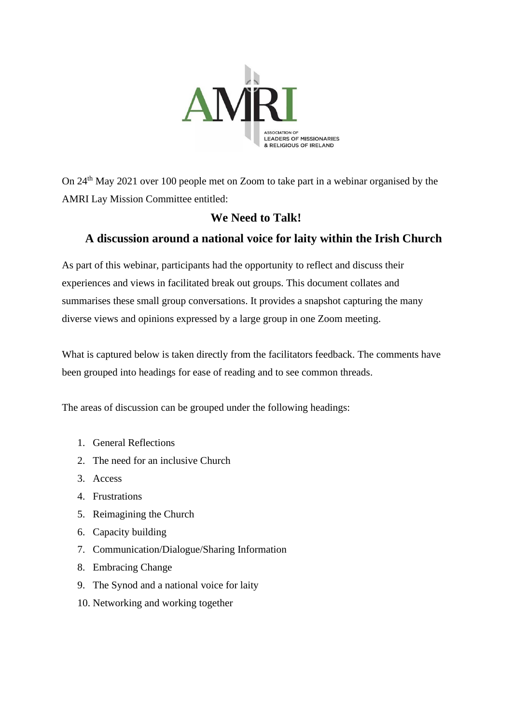

On 24th May 2021 over 100 people met on Zoom to take part in a webinar organised by the AMRI Lay Mission Committee entitled:

## **We Need to Talk!**

## **A discussion around a national voice for laity within the Irish Church**

As part of this webinar, participants had the opportunity to reflect and discuss their experiences and views in facilitated break out groups. This document collates and summarises these small group conversations. It provides a snapshot capturing the many diverse views and opinions expressed by a large group in one Zoom meeting.

What is captured below is taken directly from the facilitators feedback. The comments have been grouped into headings for ease of reading and to see common threads.

The areas of discussion can be grouped under the following headings:

- 1. General Reflections
- 2. The need for an inclusive Church
- 3. Access
- 4. Frustrations
- 5. Reimagining the Church
- 6. Capacity building
- 7. Communication/Dialogue/Sharing Information
- 8. Embracing Change
- 9. The Synod and a national voice for laity
- 10. Networking and working together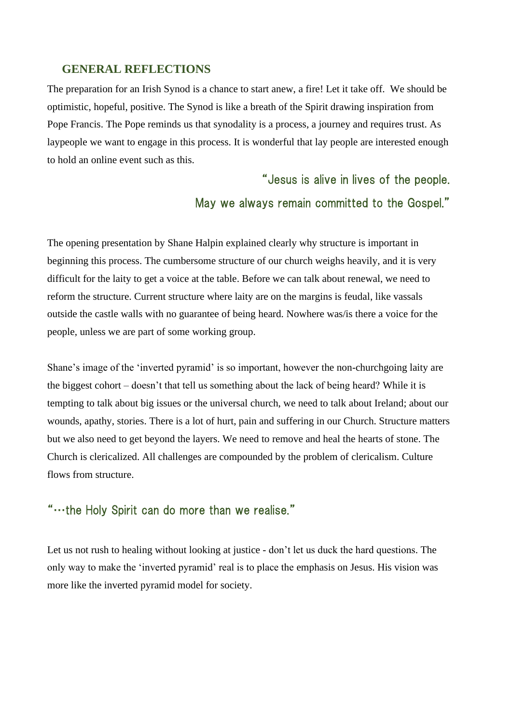### **GENERAL REFLECTIONS**

The preparation for an Irish Synod is a chance to start anew, a fire! Let it take off. We should be optimistic, hopeful, positive. The Synod is like a breath of the Spirit drawing inspiration from Pope Francis. The Pope reminds us that synodality is a process, a journey and requires trust. As laypeople we want to engage in this process. It is wonderful that lay people are interested enough to hold an online event such as this.

> "Jesus is alive in lives of the people. May we always remain committed to the Gospel."

The opening presentation by Shane Halpin explained clearly why structure is important in beginning this process. The cumbersome structure of our church weighs heavily, and it is very difficult for the laity to get a voice at the table. Before we can talk about renewal, we need to reform the structure. Current structure where laity are on the margins is feudal, like vassals outside the castle walls with no guarantee of being heard. Nowhere was/is there a voice for the people, unless we are part of some working group.

Shane's image of the 'inverted pyramid' is so important, however the non-churchgoing laity are the biggest cohort – doesn't that tell us something about the lack of being heard? While it is tempting to talk about big issues or the universal church, we need to talk about Ireland; about our wounds, apathy, stories. There is a lot of hurt, pain and suffering in our Church. Structure matters but we also need to get beyond the layers. We need to remove and heal the hearts of stone. The Church is clericalized. All challenges are compounded by the problem of clericalism. Culture flows from structure.

## "…the Holy Spirit can do more than we realise."

Let us not rush to healing without looking at justice - don't let us duck the hard questions. The only way to make the 'inverted pyramid' real is to place the emphasis on Jesus. His vision was more like the inverted pyramid model for society.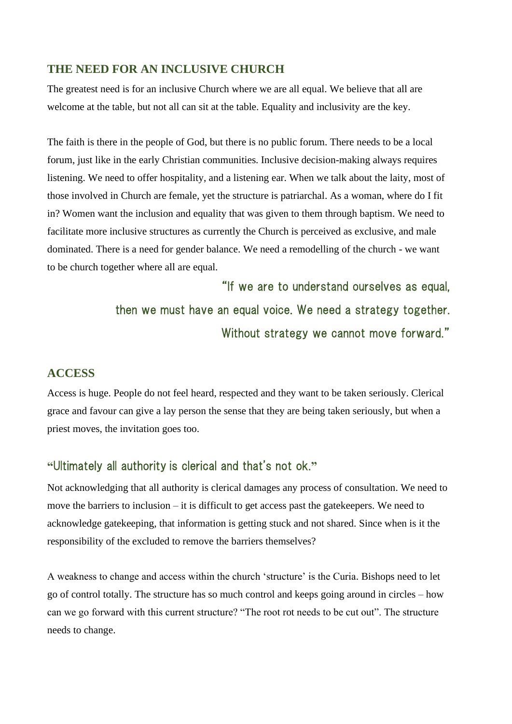### **THE NEED FOR AN INCLUSIVE CHURCH**

The greatest need is for an inclusive Church where we are all equal. We believe that all are welcome at the table, but not all can sit at the table. Equality and inclusivity are the key.

The faith is there in the people of God, but there is no public forum. There needs to be a local forum, just like in the early Christian communities. Inclusive decision-making always requires listening. We need to offer hospitality, and a listening ear. When we talk about the laity, most of those involved in Church are female, yet the structure is patriarchal. As a woman, where do I fit in? Women want the inclusion and equality that was given to them through baptism. We need to facilitate more inclusive structures as currently the Church is perceived as exclusive, and male dominated. There is a need for gender balance. We need a remodelling of the church - we want to be church together where all are equal.

> "If we are to understand ourselves as equal, then we must have an equal voice. We need a strategy together. Without strategy we cannot move forward."

### **ACCESS**

Access is huge. People do not feel heard, respected and they want to be taken seriously. Clerical grace and favour can give a lay person the sense that they are being taken seriously, but when a priest moves, the invitation goes too.

### **"**Ultimately all authority is clerical and that's not ok.**"**

Not acknowledging that all authority is clerical damages any process of consultation. We need to move the barriers to inclusion – it is difficult to get access past the gatekeepers. We need to acknowledge gatekeeping, that information is getting stuck and not shared. Since when is it the responsibility of the excluded to remove the barriers themselves?

A weakness to change and access within the church 'structure' is the Curia. Bishops need to let go of control totally. The structure has so much control and keeps going around in circles – how can we go forward with this current structure? "The root rot needs to be cut out". The structure needs to change.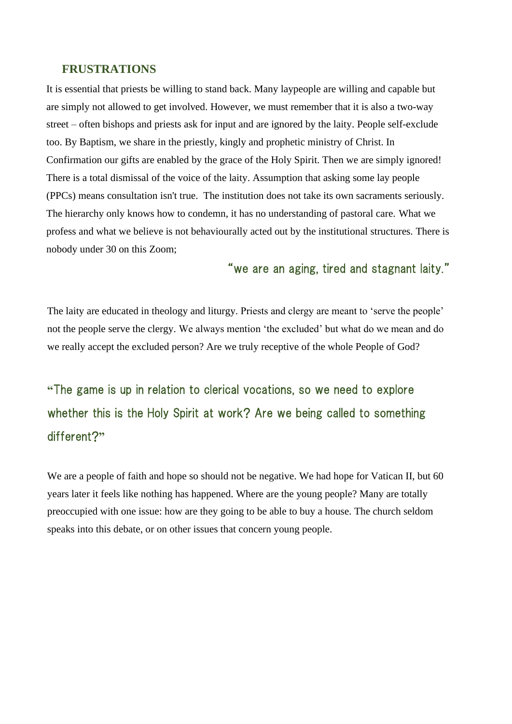#### **FRUSTRATIONS**

It is essential that priests be willing to stand back. Many laypeople are willing and capable but are simply not allowed to get involved. However, we must remember that it is also a two-way street – often bishops and priests ask for input and are ignored by the laity. People self-exclude too. By Baptism, we share in the priestly, kingly and prophetic ministry of Christ. In Confirmation our gifts are enabled by the grace of the Holy Spirit. Then we are simply ignored! There is a total dismissal of the voice of the laity. Assumption that asking some lay people (PPCs) means consultation isn't true. The institution does not take its own sacraments seriously. The hierarchy only knows how to condemn, it has no understanding of pastoral care. What we profess and what we believe is not behaviourally acted out by the institutional structures. There is nobody under 30 on this Zoom;

## "we are an aging, tired and stagnant laity."

The laity are educated in theology and liturgy. Priests and clergy are meant to 'serve the people' not the people serve the clergy. We always mention 'the excluded' but what do we mean and do we really accept the excluded person? Are we truly receptive of the whole People of God?

**"**The game is up in relation to clerical vocations, so we need to explore whether this is the Holy Spirit at work? Are we being called to something different?**"**

We are a people of faith and hope so should not be negative. We had hope for Vatican II, but 60 years later it feels like nothing has happened. Where are the young people? Many are totally preoccupied with one issue: how are they going to be able to buy a house. The church seldom speaks into this debate, or on other issues that concern young people.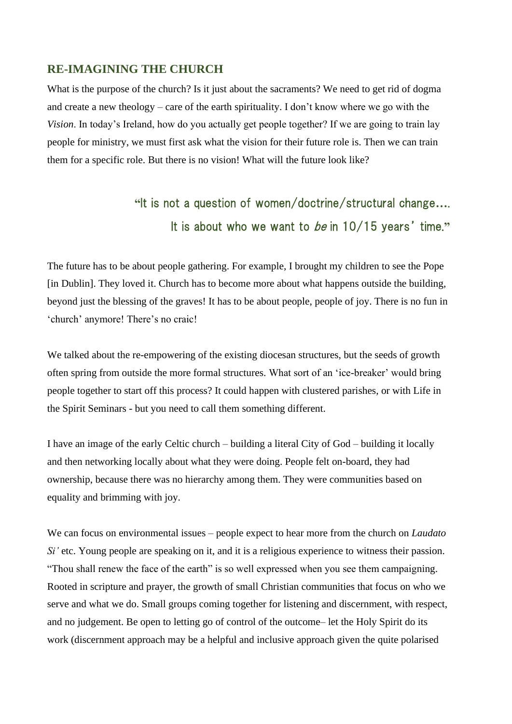### **RE-IMAGINING THE CHURCH**

What is the purpose of the church? Is it just about the sacraments? We need to get rid of dogma and create a new theology – care of the earth spirituality. I don't know where we go with the *Vision*. In today's Ireland, how do you actually get people together? If we are going to train lay people for ministry, we must first ask what the vision for their future role is. Then we can train them for a specific role. But there is no vision! What will the future look like?

# **"**It is not a question of women/doctrine/structural change**…**. It is about who we want to be in 10/15 years' time.**"**

The future has to be about people gathering. For example, I brought my children to see the Pope [in Dublin]. They loved it. Church has to become more about what happens outside the building, beyond just the blessing of the graves! It has to be about people, people of joy. There is no fun in 'church' anymore! There's no craic!

We talked about the re-empowering of the existing diocesan structures, but the seeds of growth often spring from outside the more formal structures. What sort of an 'ice-breaker' would bring people together to start off this process? It could happen with clustered parishes, or with Life in the Spirit Seminars - but you need to call them something different.

I have an image of the early Celtic church – building a literal City of God – building it locally and then networking locally about what they were doing. People felt on-board, they had ownership, because there was no hierarchy among them. They were communities based on equality and brimming with joy.

We can focus on environmental issues – people expect to hear more from the church on *Laudato Si'* etc. Young people are speaking on it, and it is a religious experience to witness their passion. "Thou shall renew the face of the earth" is so well expressed when you see them campaigning. Rooted in scripture and prayer, the growth of small Christian communities that focus on who we serve and what we do. Small groups coming together for listening and discernment, with respect, and no judgement. Be open to letting go of control of the outcome– let the Holy Spirit do its work (discernment approach may be a helpful and inclusive approach given the quite polarised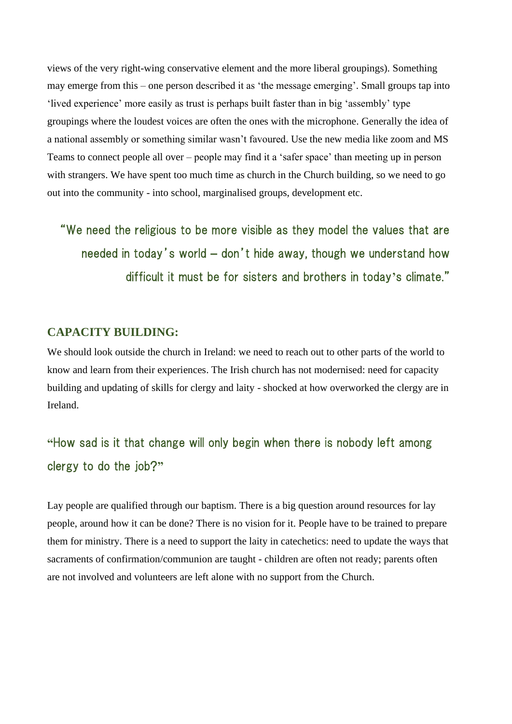views of the very right-wing conservative element and the more liberal groupings). Something may emerge from this – one person described it as 'the message emerging'. Small groups tap into 'lived experience' more easily as trust is perhaps built faster than in big 'assembly' type groupings where the loudest voices are often the ones with the microphone. Generally the idea of a national assembly or something similar wasn't favoured. Use the new media like zoom and MS Teams to connect people all over – people may find it a 'safer space' than meeting up in person with strangers. We have spent too much time as church in the Church building, so we need to go out into the community - into school, marginalised groups, development etc.

"We need the religious to be more visible as they model the values that are needed in today's world **–** don't hide away, though we understand how difficult it must be for sisters and brothers in today**'**s climate."

### **CAPACITY BUILDING:**

We should look outside the church in Ireland: we need to reach out to other parts of the world to know and learn from their experiences. The Irish church has not modernised: need for capacity building and updating of skills for clergy and laity - shocked at how overworked the clergy are in Ireland.

## **"**How sad is it that change will only begin when there is nobody left among clergy to do the job?**"**

Lay people are qualified through our baptism. There is a big question around resources for lay people, around how it can be done? There is no vision for it. People have to be trained to prepare them for ministry. There is a need to support the laity in catechetics: need to update the ways that sacraments of confirmation/communion are taught - children are often not ready; parents often are not involved and volunteers are left alone with no support from the Church.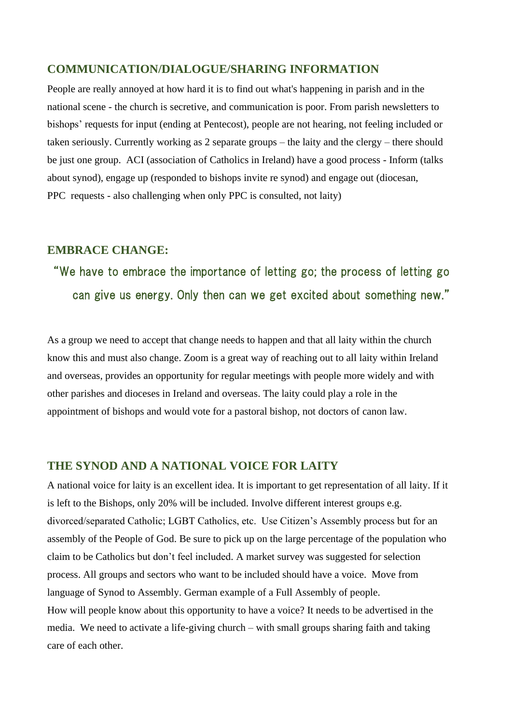### **COMMUNICATION/DIALOGUE/SHARING INFORMATION**

People are really annoyed at how hard it is to find out what's happening in parish and in the national scene - the church is secretive, and communication is poor. From parish newsletters to bishops' requests for input (ending at Pentecost), people are not hearing, not feeling included or taken seriously. Currently working as 2 separate groups – the laity and the clergy – there should be just one group. ACI (association of Catholics in Ireland) have a good process - Inform (talks about synod), engage up (responded to bishops invite re synod) and engage out (diocesan, PPC requests - also challenging when only PPC is consulted, not laity)

### **EMBRACE CHANGE:**

# "We have to embrace the importance of letting go; the process of letting go can give us energy. Only then can we get excited about something new."

As a group we need to accept that change needs to happen and that all laity within the church know this and must also change. Zoom is a great way of reaching out to all laity within Ireland and overseas, provides an opportunity for regular meetings with people more widely and with other parishes and dioceses in Ireland and overseas. The laity could play a role in the appointment of bishops and would vote for a pastoral bishop, not doctors of canon law.

### **THE SYNOD AND A NATIONAL VOICE FOR LAITY**

A national voice for laity is an excellent idea. It is important to get representation of all laity. If it is left to the Bishops, only 20% will be included. Involve different interest groups e.g. divorced/separated Catholic; LGBT Catholics, etc. Use Citizen's Assembly process but for an assembly of the People of God. Be sure to pick up on the large percentage of the population who claim to be Catholics but don't feel included. A market survey was suggested for selection process. All groups and sectors who want to be included should have a voice. Move from language of Synod to Assembly. German example of a Full Assembly of people. How will people know about this opportunity to have a voice? It needs to be advertised in the media. We need to activate a life-giving church – with small groups sharing faith and taking care of each other.